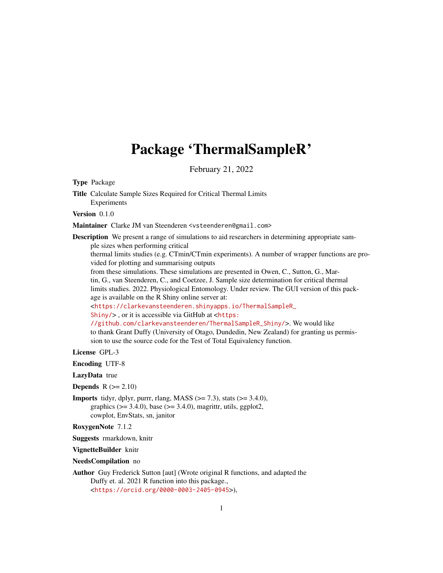## Package 'ThermalSampleR'

February 21, 2022

Type Package

Title Calculate Sample Sizes Required for Critical Thermal Limits Experiments

Version 0.1.0

Maintainer Clarke JM van Steenderen <vsteenderen@gmail.com>

Description We present a range of simulations to aid researchers in determining appropriate sample sizes when performing critical

thermal limits studies (e.g. CTmin/CTmin experiments). A number of wrapper functions are provided for plotting and summarising outputs

from these simulations. These simulations are presented in Owen, C., Sutton, G., Martin, G., van Steenderen, C., and Coetzee, J. Sample size determination for critical thermal limits studies. 2022. Physiological Entomology. Under review. The GUI version of this package is available on the R Shiny online server at:

<[https://clarkevansteenderen.shinyapps.io/ThermalSampleR\\_](https://clarkevansteenderen.shinyapps.io/ThermalSampleR_Shiny/)

[Shiny/](https://clarkevansteenderen.shinyapps.io/ThermalSampleR_Shiny/)> , or it is accessible via GitHub at <[https:](https://github.com/clarkevansteenderen/ThermalSampleR_Shiny/)

[//github.com/clarkevansteenderen/ThermalSampleR\\_Shiny/](https://github.com/clarkevansteenderen/ThermalSampleR_Shiny/)>. We would like to thank Grant Duffy (University of Otago, Dundedin, New Zealand) for granting us permission to use the source code for the Test of Total Equivalency function.

License GPL-3

Encoding UTF-8

LazyData true

**Depends**  $R$  ( $>= 2.10$ )

**Imports** tidyr, dplyr, purrr, rlang, MASS  $(>= 7.3)$ , stats  $(>= 3.4.0)$ , graphics  $(>= 3.4.0)$ , base  $(>= 3.4.0)$ , magrittr, utils, ggplot2, cowplot, EnvStats, sn, janitor

RoxygenNote 7.1.2

Suggests rmarkdown, knitr

VignetteBuilder knitr

NeedsCompilation no

Author Guy Frederick Sutton [aut] (Wrote original R functions, and adapted the Duffy et. al. 2021 R function into this package., <<https://orcid.org/0000-0003-2405-0945>>),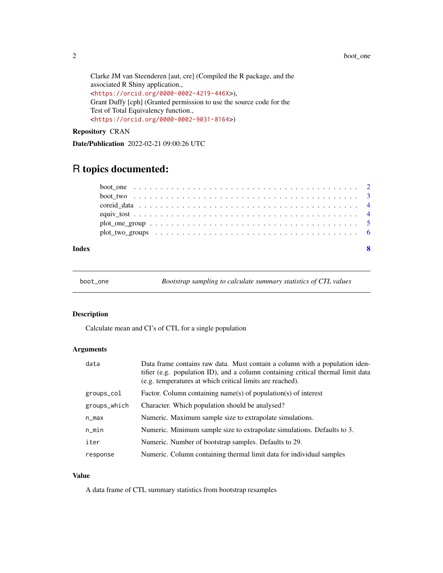<span id="page-1-0"></span>Clarke JM van Steenderen [aut, cre] (Compiled the R package, and the associated R Shiny application., <<https://orcid.org/0000-0002-4219-446X>>), Grant Duffy [cph] (Granted permission to use the source code for the Test of Total Equivalency function., <<https://orcid.org/0000-0002-9031-8164>>)

Repository CRAN

Date/Publication 2022-02-21 09:00:26 UTC

### R topics documented:

| Index |                                                                                                                   | -8 |
|-------|-------------------------------------------------------------------------------------------------------------------|----|
|       | plot two groups $\dots \dots \dots \dots \dots \dots \dots \dots \dots \dots \dots \dots \dots \dots \dots \dots$ |    |
|       |                                                                                                                   |    |
|       |                                                                                                                   |    |
|       |                                                                                                                   |    |
|       |                                                                                                                   |    |
|       |                                                                                                                   |    |

boot\_one *Bootstrap sampling to calculate summary statistics of CTL values*

#### Description

Calculate mean and CI's of CTL for a single population

#### Arguments

| data         | Data frame contains raw data. Must contain a column with a population iden-<br>tifier (e.g. population ID), and a column containing critical thermal limit data<br>(e.g. temperatures at which critical limits are reached). |
|--------------|------------------------------------------------------------------------------------------------------------------------------------------------------------------------------------------------------------------------------|
| groups_col   | Factor. Column containing name(s) of population(s) of interest                                                                                                                                                               |
| groups_which | Character. Which population should be analysed?                                                                                                                                                                              |
| n_max        | Numeric. Maximum sample size to extrapolate simulations.                                                                                                                                                                     |
| $n$ _min     | Numeric. Minimum sample size to extrapolate simulations. Defaults to 3.                                                                                                                                                      |
| iter         | Numeric. Number of bootstrap samples. Defaults to 29.                                                                                                                                                                        |
| response     | Numeric. Column containing thermal limit data for individual samples                                                                                                                                                         |

#### Value

A data frame of CTL summary statistics from bootstrap resamples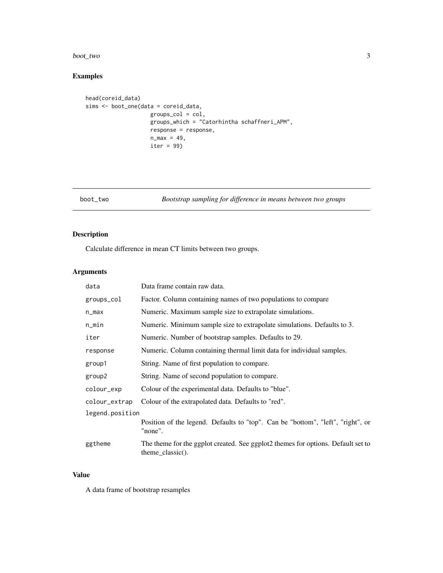#### <span id="page-2-0"></span>boot\_two 3

#### Examples

```
head(coreid_data)
sims <- boot_one(data = coreid_data,
                    groups_col = col,
                    groups_which = "Catorhintha schaffneri_APM",
                    response = response,
                    n_{max} = 49,
                    iter = 99)
```
boot\_two *Bootstrap sampling for difference in means between two groups*

#### Description

Calculate difference in mean CT limits between two groups.

#### Arguments

| data            | Data frame contain raw data.                                                                             |
|-----------------|----------------------------------------------------------------------------------------------------------|
| groups_col      | Factor. Column containing names of two populations to compare                                            |
| n_max           | Numeric. Maximum sample size to extrapolate simulations.                                                 |
| n_min           | Numeric. Minimum sample size to extrapolate simulations. Defaults to 3.                                  |
| iter            | Numeric. Number of bootstrap samples. Defaults to 29.                                                    |
| response        | Numeric. Column containing thermal limit data for individual samples.                                    |
| group1          | String. Name of first population to compare.                                                             |
| group2          | String. Name of second population to compare.                                                            |
| colour_exp      | Colour of the experimental data. Defaults to "blue".                                                     |
| colour_extrap   | Colour of the extrapolated data. Defaults to "red".                                                      |
| legend.position |                                                                                                          |
|                 | Position of the legend. Defaults to "top". Can be "bottom", "left", "right", or<br>"none".               |
| ggtheme         | The theme for the ggplot created. See ggplot2 themes for options. Default set to<br>$theme\_classic()$ . |

#### Value

A data frame of bootstrap resamples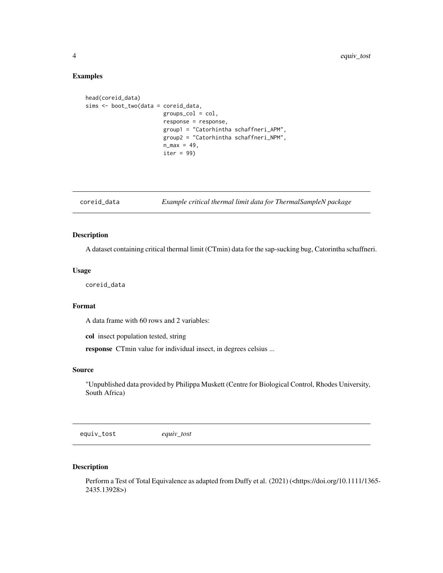#### Examples

```
head(coreid_data)
sims <- boot_two(data = coreid_data,
                        groups_{col} = col,response = response,
                        group1 = "Catorhintha schaffneri_APM",
                        group2 = "Catorhintha schaffneri_NPM",
                        n_{max} = 49,
                        iter = 99
```
coreid\_data *Example critical thermal limit data for ThermalSampleN package*

#### Description

A dataset containing critical thermal limit (CTmin) data for the sap-sucking bug, Catorintha schaffneri.

#### Usage

coreid\_data

#### Format

A data frame with 60 rows and 2 variables:

col insect population tested, string

response CTmin value for individual insect, in degrees celsius ...

#### Source

"Unpublished data provided by Philippa Muskett (Centre for Biological Control, Rhodes University, South Africa)

equiv\_tost *equiv\_tost*

#### Description

Perform a Test of Total Equivalence as adapted from Duffy et al. (2021) (<https://doi.org/10.1111/1365-2435.13928>)

<span id="page-3-0"></span>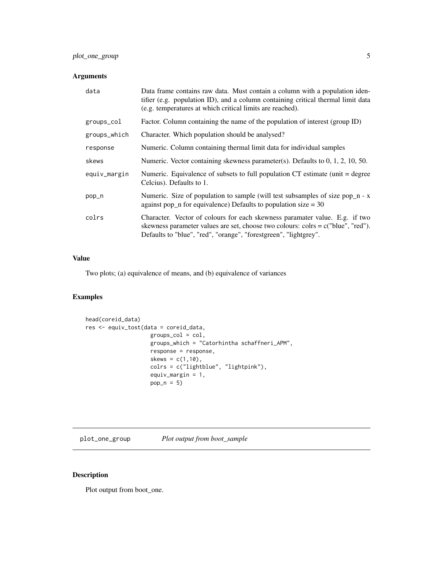#### <span id="page-4-0"></span>Arguments

| data         | Data frame contains raw data. Must contain a column with a population iden-<br>tifier (e.g. population ID), and a column containing critical thermal limit data<br>(e.g. temperatures at which critical limits are reached).          |
|--------------|---------------------------------------------------------------------------------------------------------------------------------------------------------------------------------------------------------------------------------------|
| groups_col   | Factor. Column containing the name of the population of interest (group ID)                                                                                                                                                           |
| groups_which | Character. Which population should be analysed?                                                                                                                                                                                       |
| response     | Numeric. Column containing thermal limit data for individual samples                                                                                                                                                                  |
| skews        | Numeric. Vector containing skewness parameter(s). Defaults to $0, 1, 2, 10, 50$ .                                                                                                                                                     |
| equiv_margin | Numeric. Equivalence of subsets to full population $CT$ estimate (unit = degree)<br>Celcius). Defaults to 1.                                                                                                                          |
| pop_n        | Numeric. Size of population to sample (will test subsamples of size pop $n - x$<br>against pop_n for equivalence) Defaults to population size $=$ 30                                                                                  |
| colrs        | Character. Vector of colours for each skewness paramater value. E.g. if two<br>skewness parameter values are set, choose two colours: colrs = $c("blue", "red").$<br>Defaults to "blue", "red", "orange", "forestgreen", "lightgrey". |

#### Value

Two plots; (a) equivalence of means, and (b) equivalence of variances

#### Examples

```
head(coreid_data)
res <- equiv_tost(data = coreid_data,
                    groups_col = col,
                    groups_which = "Catorhintha schaffneri_APM",
                    response = response,
                    skews = c(1,10),
                    colrs = c("lightblue", "lightpink"),
                    equiv_margin = 1,
                    pop_n = 5
```
plot\_one\_group *Plot output from boot\_sample*

#### Description

Plot output from boot\_one.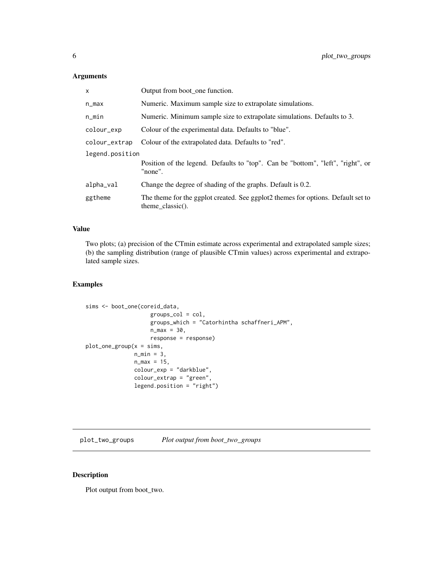#### <span id="page-5-0"></span>Arguments

| $\mathsf{x}$    | Output from boot_one function.                                                                          |
|-----------------|---------------------------------------------------------------------------------------------------------|
| n_max           | Numeric. Maximum sample size to extrapolate simulations.                                                |
| n_min           | Numeric. Minimum sample size to extrapolate simulations. Defaults to 3.                                 |
| colour_exp      | Colour of the experimental data. Defaults to "blue".                                                    |
| colour_extrap   | Colour of the extrapolated data. Defaults to "red".                                                     |
| legend.position |                                                                                                         |
|                 | Position of the legend. Defaults to "top". Can be "bottom", "left", "right", or<br>"none".              |
| alpha_val       | Change the degree of shading of the graphs. Default is 0.2.                                             |
| ggtheme         | The theme for the ggplot created. See ggplot2 themes for options. Default set to<br>theme $classic()$ . |

#### Value

Two plots; (a) precision of the CTmin estimate across experimental and extrapolated sample sizes; (b) the sampling distribution (range of plausible CTmin values) across experimental and extrapolated sample sizes.

#### Examples

```
sims <- boot_one(coreid_data,
                    groups_col = col,
                    groups_which = "Catorhintha schaffneri_APM",
                    n_{max} = 30,
                    response = response)
plot\_one\_group(x = sims,n_{min} = 3,
               n_{max} = 15,
               colour_exp = "darkblue",
               colour_extrap = "green",
               legend.position = "right")
```
plot\_two\_groups *Plot output from boot\_two\_groups*

#### Description

Plot output from boot\_two.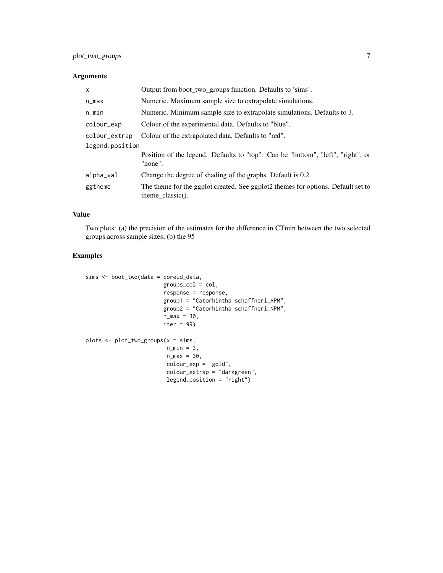#### Arguments

| $\mathsf{x}$    | Output from boot_two_groups function. Defaults to 'sims'.                                               |
|-----------------|---------------------------------------------------------------------------------------------------------|
| n_max           | Numeric. Maximum sample size to extrapolate simulations.                                                |
| $n$ _min        | Numeric. Minimum sample size to extrapolate simulations. Defaults to 3.                                 |
| colour_exp      | Colour of the experimental data. Defaults to "blue".                                                    |
| colour_extrap   | Colour of the extrapolated data. Defaults to "red".                                                     |
| legend.position |                                                                                                         |
|                 | Position of the legend. Defaults to "top". Can be "bottom", "left", "right", or<br>"none".              |
| alpha_val       | Change the degree of shading of the graphs. Default is 0.2.                                             |
| ggtheme         | The theme for the ggplot created. See ggplot2 themes for options. Default set to<br>theme $classic()$ . |

#### Value

Two plots: (a) the precision of the estimates for the difference in CTmin between the two selected groups across sample sizes; (b) the 95

#### Examples

```
sims <- boot_two(data = coreid_data,
                        groups_col = col,
                        response = response,
                        group1 = "Catorhintha schaffneri_APM",
                        group2 = "Catorhintha schaffneri_NPM",
                        n_{max} = 30,
                        iter = 99)
plots <- plot_two_groups(x = sims,
                         n_{min} = 3,
                         n_{max} = 30,colour_exp = "gold",
                         colour_extrap = "darkgreen",
                         legend.position = "right")
```